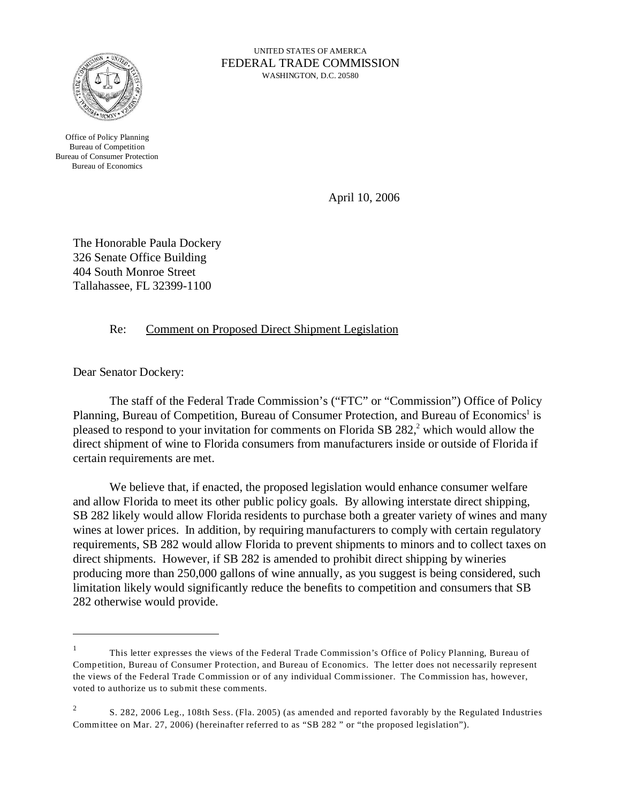

UNITED STATES OF AMERICA FEDERAL TRADE COMMISSION WASHINGTON, D.C. 20580

Office of Policy Planning Bureau of Competition Bureau of Consumer Protection Bureau of Economics

April 10, 2006

The Honorable Paula Dockery 326 Senate Office Building 404 South Monroe Street Tallahassee, FL 32399-1100

Re: Comment on Proposed Direct Shipment Legislation

Dear Senator Dockery:

The staff of the Federal Trade Commission's ("FTC" or "Commission") Office of Policy Planning, Bureau of Competition, Bureau of Consumer Protection, and Bureau of Economics<sup>1</sup> is pleased to respond to your invitation for comments on Florida SB 282,<sup>2</sup> which would allow the direct shipment of wine to Florida consumers from manufacturers inside or outside of Florida if certain requirements are met.

We believe that, if enacted, the proposed legislation would enhance consumer welfare and allow Florida to meet its other public policy goals. By allowing interstate direct shipping, SB 282 likely would allow Florida residents to purchase both a greater variety of wines and many wines at lower prices. In addition, by requiring manufacturers to comply with certain regulatory requirements, SB 282 would allow Florida to prevent shipments to minors and to collect taxes on direct shipments. However, if SB 282 is amended to prohibit direct shipping by wineries producing more than 250,000 gallons of wine annually, as you suggest is being considered, such limitation likely would significantly reduce the benefits to competition and consumers that SB 282 otherwise would provide.

<sup>1</sup> This letter expresses the views of the Federal Trade Commission's Office of Policy Planning, Bureau of Competition, Bureau of Consumer Protection, and Bureau of Economics. The letter does not necessarily represent the views of the Federal Trade Commission or of any individual Commissioner. The Commission has, however, voted to authorize us to submit these comments.

<sup>&</sup>lt;sup>2</sup> S. 282, 2006 Leg., 108th Sess. (Fla. 2005) (as amended and reported favorably by the Regulated Industries Committee on Mar. 27, 2006) (hereinafter referred to as "SB 282 " or "the proposed legislation").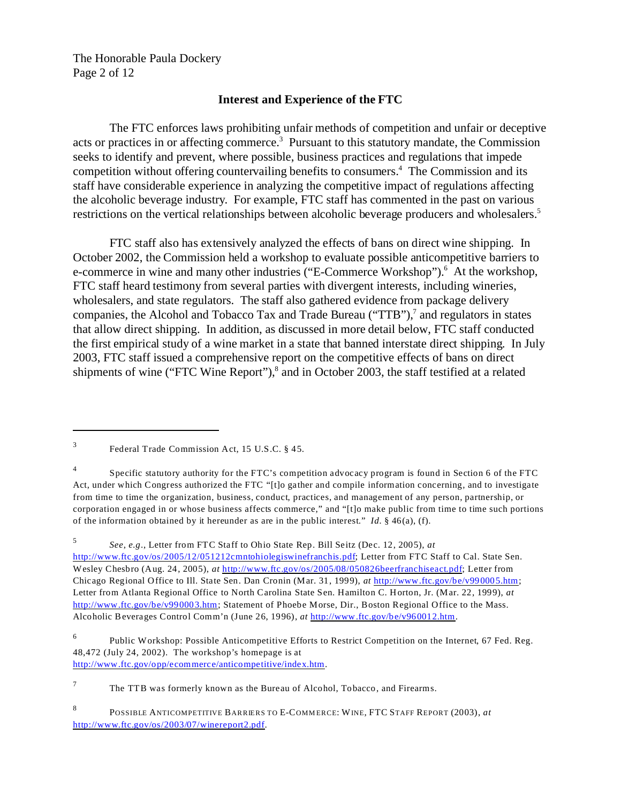The Honorable Paula Dockery Page 2 of 12

### **Interest and Experience of the FTC**

The FTC enforces laws prohibiting unfair methods of competition and unfair or deceptive acts or practices in or affecting commerce.3 Pursuant to this statutory mandate, the Commission seeks to identify and prevent, where possible, business practices and regulations that impede competition without offering countervailing benefits to consumers.<sup>4</sup> The Commission and its staff have considerable experience in analyzing the competitive impact of regulations affecting the alcoholic beverage industry. For example, FTC staff has commented in the past on various restrictions on the vertical relationships between alcoholic beverage producers and wholesalers.<sup>5</sup>

FTC staff also has extensively analyzed the effects of bans on direct wine shipping. In October 2002, the Commission held a workshop to evaluate possible anticompetitive barriers to e-commerce in wine and many other industries ("E-Commerce Workshop").<sup>6</sup> At the workshop, FTC staff heard testimony from several parties with divergent interests, including wineries, wholesalers, and state regulators. The staff also gathered evidence from package delivery companies, the Alcohol and Tobacco Tax and Trade Bureau ("TTB"),<sup>7</sup> and regulators in states that allow direct shipping. In addition, as discussed in more detail below, FTC staff conducted the first empirical study of a wine market in a state that banned interstate direct shipping. In July 2003, FTC staff issued a comprehensive report on the competitive effects of bans on direct shipments of wine ("FTC Wine Report"),<sup>8</sup> and in October 2003, the staff testified at a related

<sup>3</sup> Federal Trade Commission Act, 15 U.S.C. § 45.

<sup>4</sup> Specific statutory authority for the FTC's competition advocacy program is found in Section 6 of the FTC Act, under which Congress authorized the FTC "[t]o gather and compile information concerning, and to investigate from time to time the organization, business, conduct, practices, and management of any person, partnership, or corporation engaged in or whose business affects commerce," and "[t]o make public from time to time such portions of the information obtained by it hereunder as are in the public interest." *Id.*  $\S$  46(a), (f).

<sup>5</sup>*See*, *e.g*., Letter from FTC Staff to Ohio State Rep. Bill Seitz (Dec. 12, 2005), *at*  [http://www.ftc.gov/os/2005/12/051212cmntohiolegiswinefranchis.pdf](http://www.ftc.gov/os/2005/12/051212cmntohiolegiswinefranchis); Letter from FTC Staff to Cal. State Sen. Wesley Chesbro (Aug. 24, 2005), *at* <http://www.ftc.gov/os/2005/08/050826beerfranchiseact.pdf>; Letter from Chicago Regional Office to Ill. State Sen. Dan Cronin (Mar. 31, 1999), *at* <http://www.ftc.gov/be/v990005.htm>; Letter from Atlanta Regional Office to North Carolina State Sen. Hamilton C. Horton, Jr. (Mar. 22, 1999), *at*  <http://www.ftc.gov/be/v990003.htm>; Statement of Phoebe Morse, Dir., Boston Regional Office to the Mass. Alcoholic Beverages Control Comm'n (June 26, 1996), *at* [http://www.ftc.gov/be/v960012.htm](http://www.ftc.gov/be/v960012.htm.).

<sup>6</sup> Public Workshop: Possible Anticompetitive Efforts to Restrict Competition on the Internet, 67 Fed. Reg. 48,472 (July 24, 2002). The workshop's homepage is at <http://www.ftc.gov/opp/ecommerce/anticompetitive/index.htm>.

 $7$  The TTB was formerly known as the Bureau of Alcohol, Tobacco, and Firearms.

<sup>8</sup>  [http://www.ftc.gov/os/2003/07/winereport2.pdf](http://www.ftc.gov/os/2003/07/winereport2.pdf.). POSSIBLE ANTICOMPETITIVE BARRIERS TO E-COMMERCE: WINE, FTC STAFF REPORT (2003), at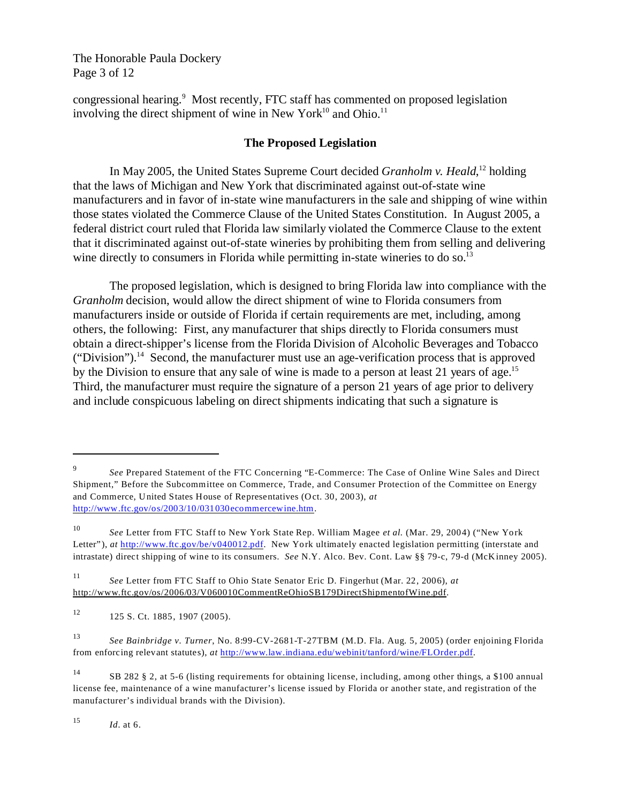The Honorable Paula Dockery Page 3 of 12

congressional hearing.<sup>9</sup> Most recently, FTC staff has commented on proposed legislation involving the direct shipment of wine in New York $^{10}$  and Ohio.<sup>11</sup>

#### **The Proposed Legislation**

In May 2005, the United States Supreme Court decided *Granholm v. Heald*, 12 holding that the laws of Michigan and New York that discriminated against out-of-state wine manufacturers and in favor of in-state wine manufacturers in the sale and shipping of wine within those states violated the Commerce Clause of the United States Constitution. In August 2005, a federal district court ruled that Florida law similarly violated the Commerce Clause to the extent that it discriminated against out-of-state wineries by prohibiting them from selling and delivering wine directly to consumers in Florida while permitting in-state wineries to do so.<sup>13</sup>

The proposed legislation, which is designed to bring Florida law into compliance with the *Granholm* decision, would allow the direct shipment of wine to Florida consumers from manufacturers inside or outside of Florida if certain requirements are met, including, among others, the following: First, any manufacturer that ships directly to Florida consumers must obtain a direct-shipper's license from the Florida Division of Alcoholic Beverages and Tobacco ("Division").<sup>14</sup> Second, the manufacturer must use an age-verification process that is approved by the Division to ensure that any sale of wine is made to a person at least 21 years of age.<sup>15</sup> Third, the manufacturer must require the signature of a person 21 years of age prior to delivery and include conspicuous labeling on direct shipments indicating that such a signature is

<sup>15</sup>*Id.* at 6.

<sup>9</sup>*See* Prepared Statement of the FTC Concerning "E-Commerce: The Case of Online Wine Sales and Direct Shipment," Before the Subcommittee on Commerce, Trade, and Consumer Protection of the Committee on Energy and Commerce, United States House of Representatives (Oct. 30, 2003), *at*  <http://www.ftc.gov/os/2003/10/031030ecommercewine.htm>.

<sup>10</sup>*See* Letter from FTC Staff to New York State Rep. William Magee *et al.* (Mar. 29, 2004) ("New York Letter"), *at* [http://www.ftc.gov/be/v040012.pdf](http://www.ftc.gov/be/v040012.pdf.). New York ultimately enacted legislation permitting (interstate and intrastate) direct shipping of wine to its consumers. *See* N.Y. Alco. Bev. Cont. Law §§ 79-c, 79-d (McKinney 2005).

<sup>11</sup>*See* Letter from FTC Staff to Ohio State Senator Eric D. Fingerhut (Mar. 22, 2006), *at*  http://www.ftc.gov/os/2006/03/V060010CommentReOhioSB179DirectShipmentofWine.pdf.

 $12$  125 S. Ct. 1885, 1907 (2005).

<sup>13</sup>*See Bainbridge v. Turner*, No. 8:99-CV-2681-T-27TBM (M.D. Fla. Aug. 5, 2005) (order enjoining Florida from enforcing relevant statutes), *at* <http://www.law.indiana.edu/webinit/tanford/wine/FLOrder.pdf>.

<sup>14</sup> SB 282 § 2, at 5-6 (listing requirements for obtaining license, including, among other things, a \$100 annual license fee, maintenance of a wine manufacturer's license issued by Florida or another state, and registration of the manufacturer's individual brands with the Division).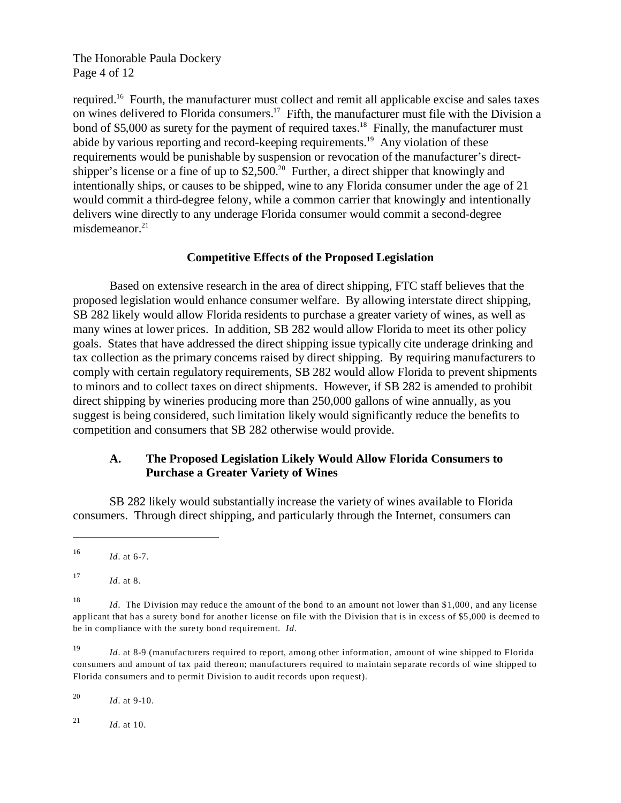The Honorable Paula Dockery Page 4 of 12

required.16 Fourth, the manufacturer must collect and remit all applicable excise and sales taxes on wines delivered to Florida consumers.<sup>17</sup> Fifth, the manufacturer must file with the Division a bond of \$5,000 as surety for the payment of required taxes.<sup>18</sup> Finally, the manufacturer must abide by various reporting and record-keeping requirements.19 Any violation of these requirements would be punishable by suspension or revocation of the manufacturer's directshipper's license or a fine of up to  $$2,500<sup>20</sup>$  Further, a direct shipper that knowingly and intentionally ships, or causes to be shipped, wine to any Florida consumer under the age of 21 would commit a third-degree felony, while a common carrier that knowingly and intentionally delivers wine directly to any underage Florida consumer would commit a second-degree misdemeanor. $21$ 

## **Competitive Effects of the Proposed Legislation**

Based on extensive research in the area of direct shipping, FTC staff believes that the proposed legislation would enhance consumer welfare. By allowing interstate direct shipping, SB 282 likely would allow Florida residents to purchase a greater variety of wines, as well as many wines at lower prices. In addition, SB 282 would allow Florida to meet its other policy goals. States that have addressed the direct shipping issue typically cite underage drinking and tax collection as the primary concerns raised by direct shipping. By requiring manufacturers to comply with certain regulatory requirements, SB 282 would allow Florida to prevent shipments to minors and to collect taxes on direct shipments. However, if SB 282 is amended to prohibit direct shipping by wineries producing more than 250,000 gallons of wine annually, as you suggest is being considered, such limitation likely would significantly reduce the benefits to competition and consumers that SB 282 otherwise would provide.

## **A. The Proposed Legislation Likely Would Allow Florida Consumers to Purchase a Greater Variety of Wines**

SB 282 likely would substantially increase the variety of wines available to Florida consumers. Through direct shipping, and particularly through the Internet, consumers can

<sup>17</sup>*Id.* at 8.

<sup>19</sup>*Id.* at 8-9 (manufacturers required to report, among other information, amount of wine shipped to Florida consumers and amount of tax paid thereon; manufacturers required to maintain separate records of wine shipped to Florida consumers and to permit Division to audit records upon request).

<sup>20</sup>*Id.* at 9-10.

<sup>21</sup> *Id.* at 10.

<sup>16</sup>*Id.* at 6-7.

<sup>18</sup>*Id.* The Division may reduce the amount of the bond to an amount not lower than \$1,000, and any license applicant that has a surety bond for another license on file with the Division that is in excess of \$5,000 is deemed to be in compliance with the surety bond requirement. *Id.*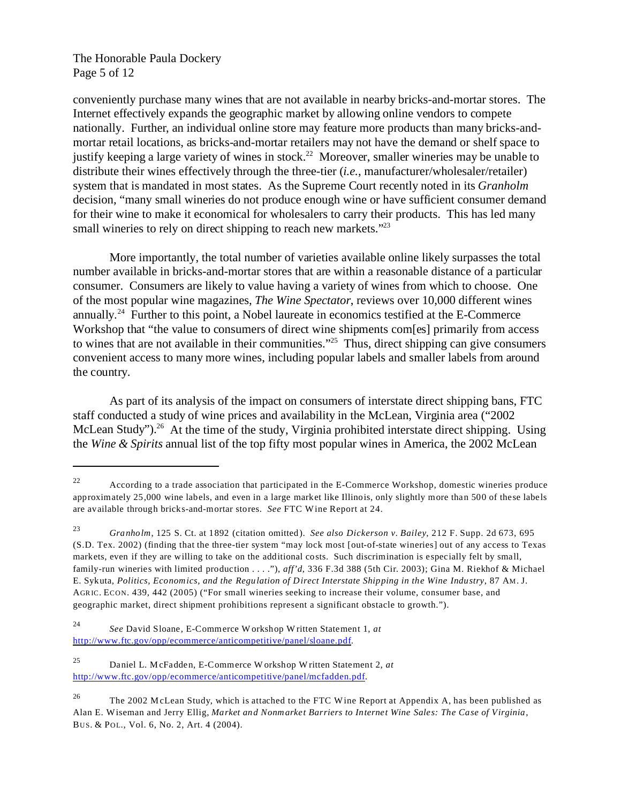The Honorable Paula Dockery Page 5 of 12

conveniently purchase many wines that are not available in nearby bricks-and-mortar stores. The Internet effectively expands the geographic market by allowing online vendors to compete nationally. Further, an individual online store may feature more products than many bricks-andmortar retail locations, as bricks-and-mortar retailers may not have the demand or shelf space to justify keeping a large variety of wines in stock.<sup>22</sup> Moreover, smaller wineries may be unable to distribute their wines effectively through the three-tier (*i.e.*, manufacturer/wholesaler/retailer) system that is mandated in most states. As the Supreme Court recently noted in its *Granholm*  decision, "many small wineries do not produce enough wine or have sufficient consumer demand for their wine to make it economical for wholesalers to carry their products. This has led many small wineries to rely on direct shipping to reach new markets."<sup>23</sup>

More importantly, the total number of varieties available online likely surpasses the total number available in bricks-and-mortar stores that are within a reasonable distance of a particular consumer. Consumers are likely to value having a variety of wines from which to choose. One of the most popular wine magazines, *The Wine Spectator*, reviews over 10,000 different wines annually.24 Further to this point, a Nobel laureate in economics testified at the E-Commerce Workshop that "the value to consumers of direct wine shipments com[es] primarily from access to wines that are not available in their communities."<sup>25</sup> Thus, direct shipping can give consumers convenient access to many more wines, including popular labels and smaller labels from around the country.

As part of its analysis of the impact on consumers of interstate direct shipping bans, FTC staff conducted a study of wine prices and availability in the McLean, Virginia area ("2002 McLean Study").<sup>26</sup> At the time of the study, Virginia prohibited interstate direct shipping. Using the *Wine & Spirits* annual list of the top fifty most popular wines in America, the 2002 McLean

<sup>&</sup>lt;sup>22</sup> According to a trade association that participated in the E-Commerce Workshop, domestic wineries produce approximately 25,000 wine labels, and even in a large market like Illinois, only slightly more than 500 of these labels are available through bricks-and-mortar stores. *See* FTC Wine Report at 24.

<sup>23</sup>*Granholm*, 125 S. Ct. at 1892 (citation omitted). *See also Dickerson v. Bailey*, 212 F. Supp. 2d 673, 695 (S.D. Tex. 2002) (finding that the three-tier system "may lock most [out-of-state wineries] out of any access to Texas markets, even if they are willing to take on the additional costs. Such discrimination is especially felt by small, family-run wineries with limited production . . . ."), *aff'd*, 336 F.3d 388 (5th Cir. 2003); Gina M. Riekhof & Michael E. Sykuta, *Politics, Economics, and the Regulation of Direct Interstate Shipping in the Wine Industry*, 87 AM. J. AGRIC. ECON. 439, 442 (2005) ("For small wineries seeking to increase their volume, consumer base, and geographic market, direct shipment prohibitions represent a significant obstacle to growth.").

<sup>24</sup>*See* David Sloane, E-Commerce W orkshop W ritten Statement 1, *at*  <http://www.ftc.gov/opp/ecommerce/anticompetitive/panel/sloane>.pdf.

<sup>25</sup> Daniel L. McFadden, E-Commerce W orkshop W ritten Statement 2, *at*  <http://www.ftc.gov/opp/ecommerce/anticompetitive/panel/mcfadden>.pdf.

<sup>&</sup>lt;sup>26</sup> The 2002 M cLean Study, which is attached to the FTC W ine Report at Appendix A, has been published as Alan E. Wiseman and Jerry Ellig, *Market and Nonmarket Barriers to Internet Wine Sales: The Case of Virginia*, BUS. & POL., Vol. 6, No. 2, Art. 4 (2004).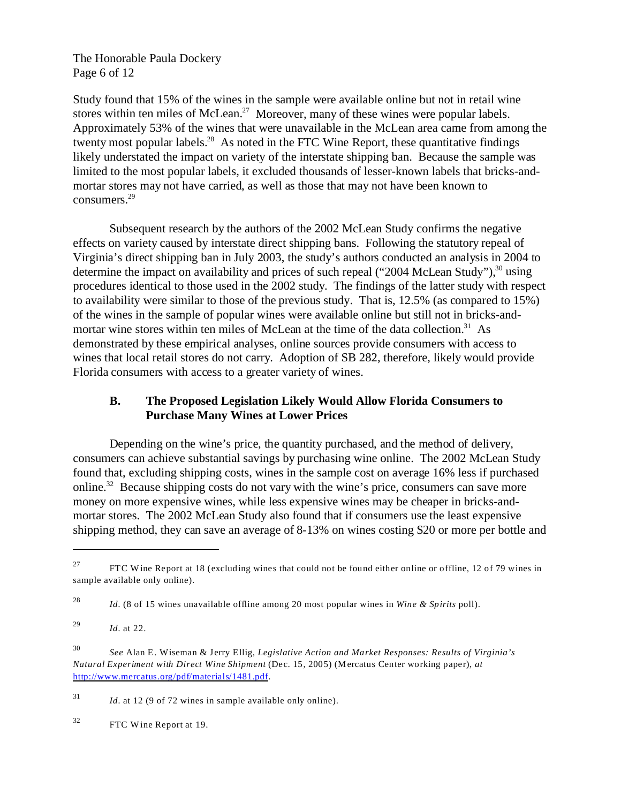The Honorable Paula Dockery Page 6 of 12

Study found that 15% of the wines in the sample were available online but not in retail wine stores within ten miles of McLean.<sup>27</sup> Moreover, many of these wines were popular labels. Approximately 53% of the wines that were unavailable in the McLean area came from among the twenty most popular labels.<sup>28</sup> As noted in the FTC Wine Report, these quantitative findings likely understated the impact on variety of the interstate shipping ban. Because the sample was limited to the most popular labels, it excluded thousands of lesser-known labels that bricks-andmortar stores may not have carried, as well as those that may not have been known to consumers.29

Subsequent research by the authors of the 2002 McLean Study confirms the negative effects on variety caused by interstate direct shipping bans. Following the statutory repeal of Virginia's direct shipping ban in July 2003, the study's authors conducted an analysis in 2004 to determine the impact on availability and prices of such repeal ("2004 McLean Study"), $30$  using procedures identical to those used in the 2002 study. The findings of the latter study with respect to availability were similar to those of the previous study. That is, 12.5% (as compared to 15%) of the wines in the sample of popular wines were available online but still not in bricks-andmortar wine stores within ten miles of McLean at the time of the data collection.<sup>31</sup> As demonstrated by these empirical analyses, online sources provide consumers with access to wines that local retail stores do not carry. Adoption of SB 282, therefore, likely would provide Florida consumers with access to a greater variety of wines.

# **B. The Proposed Legislation Likely Would Allow Florida Consumers to Purchase Many Wines at Lower Prices**

Depending on the wine's price, the quantity purchased, and the method of delivery, consumers can achieve substantial savings by purchasing wine online. The 2002 McLean Study found that, excluding shipping costs, wines in the sample cost on average 16% less if purchased online.<sup>32</sup> Because shipping costs do not vary with the wine's price, consumers can save more money on more expensive wines, while less expensive wines may be cheaper in bricks-andmortar stores. The 2002 McLean Study also found that if consumers use the least expensive shipping method, they can save an average of 8-13% on wines costing \$20 or more per bottle and

<sup>&</sup>lt;sup>27</sup> FTC Wine Report at 18 (excluding wines that could not be found either online or offline, 12 of 79 wines in sample available only online).

<sup>28</sup>*Id.* (8 of 15 wines unavailable offline among 20 most popular wines in *Wine & Spirits* poll).

<sup>29</sup>*Id.* at 22.

<sup>30</sup>*See* Alan E. Wiseman & Jerry Ellig, *Legislative Action and Market Responses: Results of Virginia's Natural Experiment with Direct Wine Shipment* (Dec. 15, 2005) (Mercatus Center working paper), *at*  <http://www.mercatus.org/pdf/materials/1481.pdf>.

<sup>31</sup>*Id.* at 12 (9 of 72 wines in sample available only online).

<sup>32</sup> FTC Wine Report at 19.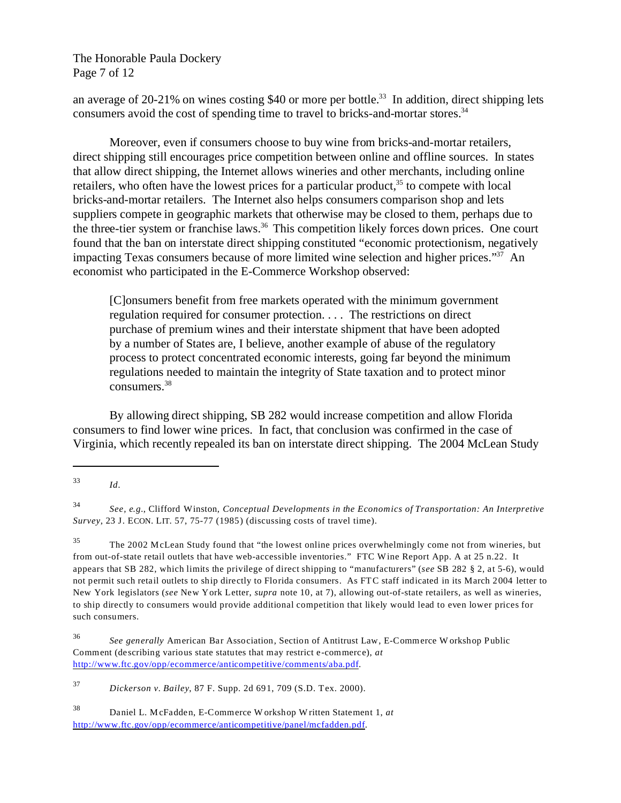The Honorable Paula Dockery Page 7 of 12

an average of 20-21% on wines costing  $$40$  or more per bottle.<sup>33</sup> In addition, direct shipping lets consumers avoid the cost of spending time to travel to bricks-and-mortar stores.<sup>34</sup>

Moreover, even if consumers choose to buy wine from bricks-and-mortar retailers, direct shipping still encourages price competition between online and offline sources. In states that allow direct shipping, the Internet allows wineries and other merchants, including online retailers, who often have the lowest prices for a particular product,<sup>35</sup> to compete with local bricks-and-mortar retailers. The Internet also helps consumers comparison shop and lets suppliers compete in geographic markets that otherwise may be closed to them, perhaps due to the three-tier system or franchise laws.<sup>36</sup> This competition likely forces down prices. One court found that the ban on interstate direct shipping constituted "economic protectionism, negatively impacting Texas consumers because of more limited wine selection and higher prices."37 An economist who participated in the E-Commerce Workshop observed:

[C]onsumers benefit from free markets operated with the minimum government regulation required for consumer protection. . . . The restrictions on direct purchase of premium wines and their interstate shipment that have been adopted by a number of States are, I believe, another example of abuse of the regulatory process to protect concentrated economic interests, going far beyond the minimum regulations needed to maintain the integrity of State taxation and to protect minor consumers.38

By allowing direct shipping, SB 282 would increase competition and allow Florida consumers to find lower wine prices. In fact, that conclusion was confirmed in the case of Virginia, which recently repealed its ban on interstate direct shipping. The 2004 McLean Study

<sup>37</sup>*Dickerson v. Bailey*, 87 F. Supp. 2d 691, 709 (S.D. Tex. 2000).

<sup>33</sup>*Id.* 

<sup>34</sup>*See, e.g.*, Clifford Winston, *Conceptual Developments in the Economics of Transportation: An Interpretive Survey*, 23 J. ECON. LIT. 57, 75-77 (1985) (discussing costs of travel time).

<sup>35</sup> The 2002 McLean Study found that "the lowest online prices overwhelmingly come not from wineries, but from out-of-state retail outlets that have web-accessible inventories." FTC Wine Report App. A at 25 n.22. It appears that SB 282, which limits the privilege of direct shipping to "manufacturers" (*see* SB 282 § 2, at 5-6), would not permit such retail outlets to ship directly to Florida consumers. As FTC staff indicated in its March 2004 letter to New York legislators (*see* New York Letter, *supra* note 10, at 7), allowing out-of-state retailers, as well as wineries, to ship directly to consumers would provide additional competition that likely would lead to even lower prices for such consumers.

<sup>36</sup>*See generally* American Bar Association, Section of Antitrust Law, E-Commerce W orkshop Public Comment (describing various state statutes that may restrict e-commerce), *at*  <http://www.ftc.gov/opp/ecommerce/anticompetitive/comments/aba>.pdf.

<sup>38</sup> Daniel L. McFadden, E-Commerce W orkshop W ritten Statement 1, *at*  <http://www.ftc.gov/opp/ecommerce/anticompetitive/panel/mcfadden>.pdf.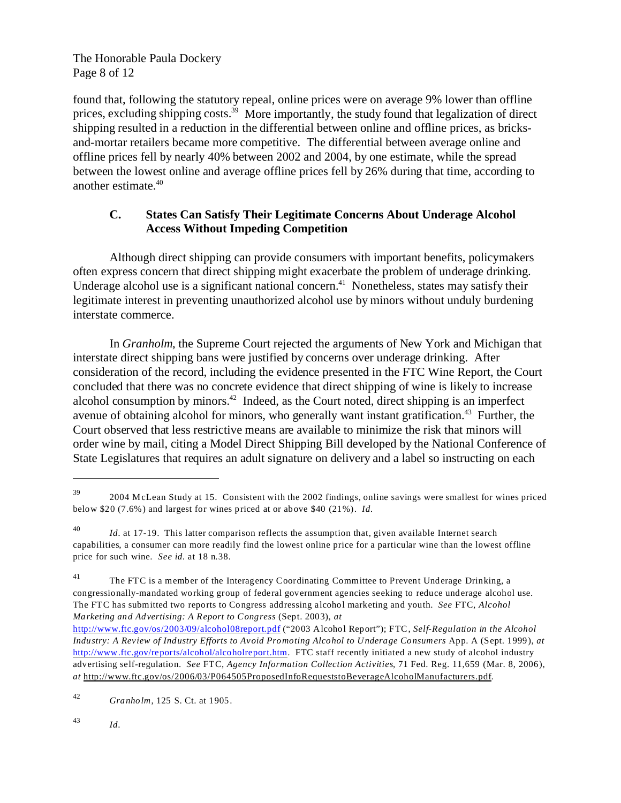The Honorable Paula Dockery Page 8 of 12

found that, following the statutory repeal, online prices were on average 9% lower than offline prices, excluding shipping costs.<sup>39</sup> More importantly, the study found that legalization of direct shipping resulted in a reduction in the differential between online and offline prices, as bricksand-mortar retailers became more competitive. The differential between average online and offline prices fell by nearly 40% between 2002 and 2004, by one estimate, while the spread between the lowest online and average offline prices fell by 26% during that time, according to another estimate.40

# **C. States Can Satisfy Their Legitimate Concerns About Underage Alcohol Access Without Impeding Competition**

Although direct shipping can provide consumers with important benefits, policymakers often express concern that direct shipping might exacerbate the problem of underage drinking. Underage alcohol use is a significant national concern.<sup>41</sup> Nonetheless, states may satisfy their legitimate interest in preventing unauthorized alcohol use by minors without unduly burdening interstate commerce.

In *Granholm*, the Supreme Court rejected the arguments of New York and Michigan that interstate direct shipping bans were justified by concerns over underage drinking. After consideration of the record, including the evidence presented in the FTC Wine Report, the Court concluded that there was no concrete evidence that direct shipping of wine is likely to increase alcohol consumption by minors. $42$  Indeed, as the Court noted, direct shipping is an imperfect avenue of obtaining alcohol for minors, who generally want instant gratification.<sup>43</sup> Further, the Court observed that less restrictive means are available to minimize the risk that minors will order wine by mail, citing a Model Direct Shipping Bill developed by the National Conference of State Legislatures that requires an adult signature on delivery and a label so instructing on each

<sup>43</sup>*Id*.

<sup>39 2004</sup> McLean Study at 15. Consistent with the 2002 findings, online savings were smallest for wines priced below \$20 (7.6%) and largest for wines priced at or above \$40 (21%). *Id.* 

<sup>40</sup>*Id.* at 17-19. This latter comparison reflects the assumption that, given available Internet search capabilities, a consumer can more readily find the lowest online price for a particular wine than the lowest offline price for such wine. *See id.* at 18 n.38.

<sup>&</sup>lt;sup>41</sup> The FTC is a member of the Interagency Coordinating Committee to Prevent Underage Drinking, a congressionally-mandated working group of federal government agencies seeking to reduce underage alcohol use. The FTC has submitted two reports to Congress addressing alcohol marketing and youth. *See* FTC, *Alcohol Marketing and Advertising: A Report to Congress* (Sept. 2003), *at* 

<http://www.ftc.gov/os/2003/09/alcohol08report.pdf> ("2003 Alcohol Report"); FTC, *Self-Regulation in the Alcohol Industry: A Review of Industry Efforts to Avoid Promoting Alcohol to Underage Consumers* App. A (Sept. 1999), *at*  <http://www.ftc.gov/reports/alcohol/alcoholreport.htm>. FTC staff recently initiated a new study of alcohol industry advertising self-regulation. *See* FTC, *Agency Information Collection Activities*, 71 Fed. Reg. 11,659 (Mar. 8, 2006), *at* http://www.ftc.gov/os/2006/03/P064505ProposedInfoRequeststoBeverageAlcoholManufacturers.pdf.

<sup>42</sup>*Granholm*, 125 S. Ct. at 1905.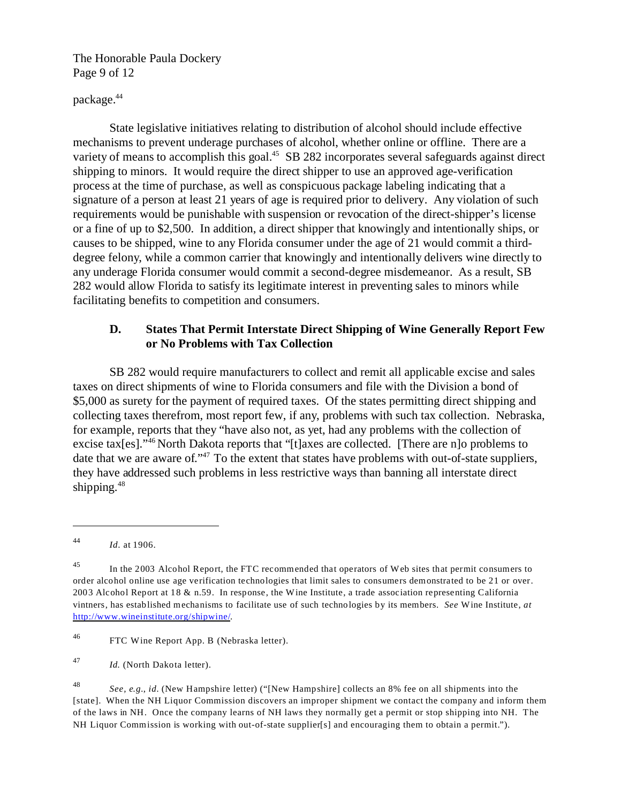The Honorable Paula Dockery Page 9 of 12

## package.44

State legislative initiatives relating to distribution of alcohol should include effective mechanisms to prevent underage purchases of alcohol, whether online or offline. There are a variety of means to accomplish this goal.<sup>45</sup> SB 282 incorporates several safeguards against direct shipping to minors. It would require the direct shipper to use an approved age-verification process at the time of purchase, as well as conspicuous package labeling indicating that a signature of a person at least 21 years of age is required prior to delivery. Any violation of such requirements would be punishable with suspension or revocation of the direct-shipper's license or a fine of up to \$2,500. In addition, a direct shipper that knowingly and intentionally ships, or causes to be shipped, wine to any Florida consumer under the age of 21 would commit a thirddegree felony, while a common carrier that knowingly and intentionally delivers wine directly to any underage Florida consumer would commit a second-degree misdemeanor. As a result, SB 282 would allow Florida to satisfy its legitimate interest in preventing sales to minors while facilitating benefits to competition and consumers.

## **D. States That Permit Interstate Direct Shipping of Wine Generally Report Few or No Problems with Tax Collection**

SB 282 would require manufacturers to collect and remit all applicable excise and sales taxes on direct shipments of wine to Florida consumers and file with the Division a bond of \$5,000 as surety for the payment of required taxes. Of the states permitting direct shipping and collecting taxes therefrom, most report few, if any, problems with such tax collection. Nebraska, for example, reports that they "have also not, as yet, had any problems with the collection of excise tax[es]."46 North Dakota reports that "[t]axes are collected. [There are n]o problems to date that we are aware of."<sup>47</sup> To the extent that states have problems with out-of-state suppliers, they have addressed such problems in less restrictive ways than banning all interstate direct shipping.<sup>48</sup>

46 FTC Wine Report App. B (Nebraska letter).

<sup>47</sup>*Id.* (North Dakota letter).

<sup>48</sup>*See, e.g.*, *id.* (New Hampshire letter) ("[New Hampshire] collects an 8% fee on all shipments into the [state]. When the NH Liquor Commission discovers an improper shipment we contact the company and inform them of the laws in NH. Once the company learns of NH laws they normally get a permit or stop shipping into NH. The NH Liquor Commission is working with out-of-state supplier[s] and encouraging them to obtain a permit.").

<sup>44</sup>*Id*. at 1906.

<sup>&</sup>lt;sup>45</sup> In the 2003 Alcohol Report, the FTC recommended that operators of Web sites that permit consumers to order alcohol online use age verification technologies that limit sales to consumers demonstrated to be 21 or over. 2003 Alcohol Report at 18 & n.59. In response, the Wine Institute, a trade association representing California vintners, has established mechanisms to facilitate use of such technologies by its members. *See* Wine Institute, *at*  <http://www.wineinstitute.org/shipwine/>.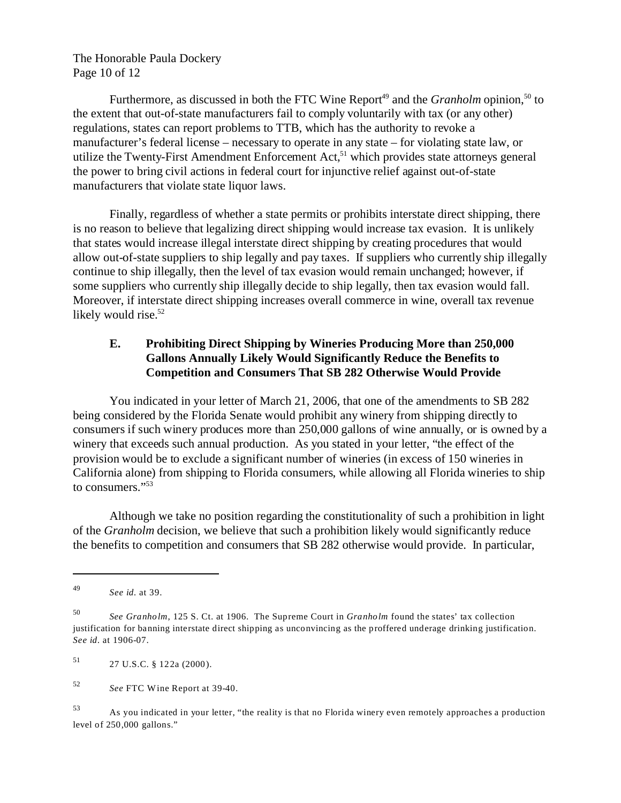The Honorable Paula Dockery Page 10 of 12

Furthermore, as discussed in both the FTC Wine Report<sup>49</sup> and the *Granholm* opinion,<sup>50</sup> to the extent that out-of-state manufacturers fail to comply voluntarily with tax (or any other) regulations, states can report problems to TTB, which has the authority to revoke a manufacturer's federal license – necessary to operate in any state – for violating state law, or utilize the Twenty-First Amendment Enforcement Act, $51$  which provides state attorneys general the power to bring civil actions in federal court for injunctive relief against out-of-state manufacturers that violate state liquor laws.

Finally, regardless of whether a state permits or prohibits interstate direct shipping, there is no reason to believe that legalizing direct shipping would increase tax evasion. It is unlikely that states would increase illegal interstate direct shipping by creating procedures that would allow out-of-state suppliers to ship legally and pay taxes. If suppliers who currently ship illegally continue to ship illegally, then the level of tax evasion would remain unchanged; however, if some suppliers who currently ship illegally decide to ship legally, then tax evasion would fall. Moreover, if interstate direct shipping increases overall commerce in wine, overall tax revenue likely would rise.<sup>52</sup>

# **E. Prohibiting Direct Shipping by Wineries Producing More than 250,000 Gallons Annually Likely Would Significantly Reduce the Benefits to Competition and Consumers That SB 282 Otherwise Would Provide**

You indicated in your letter of March 21, 2006, that one of the amendments to SB 282 being considered by the Florida Senate would prohibit any winery from shipping directly to consumers if such winery produces more than 250,000 gallons of wine annually, or is owned by a winery that exceeds such annual production. As you stated in your letter, "the effect of the provision would be to exclude a significant number of wineries (in excess of 150 wineries in California alone) from shipping to Florida consumers, while allowing all Florida wineries to ship to consumers."<sup>53</sup>

Although we take no position regarding the constitutionality of such a prohibition in light of the *Granholm* decision, we believe that such a prohibition likely would significantly reduce the benefits to competition and consumers that SB 282 otherwise would provide. In particular,

51 27 U.S.C. § 122a (2000).

<sup>49</sup>*See id.* at 39.

<sup>50</sup>*See Granholm*, 125 S. Ct. at 1906. The Supreme Court in *Granholm* found the states' tax collection justification for banning interstate direct shipping as unconvincing as the proffered underage drinking justification. *See id.* at 1906-07.

<sup>52</sup>*See* FTC Wine Report at 39-40.

<sup>53</sup> As you indicated in your letter, "the reality is that no Florida winery even remotely approaches a production level of 250,000 gallons."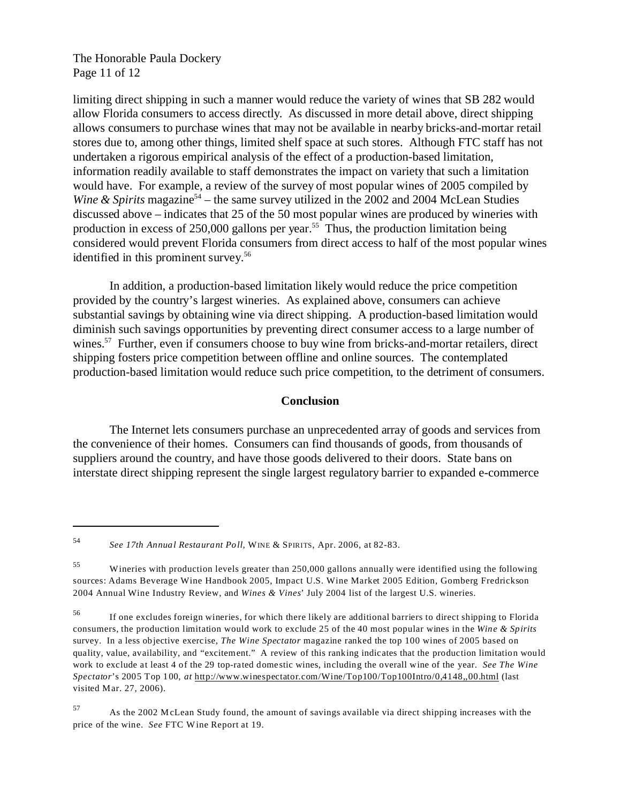The Honorable Paula Dockery Page 11 of 12

limiting direct shipping in such a manner would reduce the variety of wines that SB 282 would allow Florida consumers to access directly. As discussed in more detail above, direct shipping allows consumers to purchase wines that may not be available in nearby bricks-and-mortar retail stores due to, among other things, limited shelf space at such stores. Although FTC staff has not undertaken a rigorous empirical analysis of the effect of a production-based limitation, information readily available to staff demonstrates the impact on variety that such a limitation would have. For example, a review of the survey of most popular wines of 2005 compiled by *Wine & Spirits* magazine<sup>54</sup> – the same survey utilized in the 2002 and 2004 McLean Studies discussed above – indicates that 25 of the 50 most popular wines are produced by wineries with production in excess of  $250,000$  gallons per year.<sup>55</sup> Thus, the production limitation being considered would prevent Florida consumers from direct access to half of the most popular wines identified in this prominent survey.<sup>56</sup>

In addition, a production-based limitation likely would reduce the price competition provided by the country's largest wineries. As explained above, consumers can achieve substantial savings by obtaining wine via direct shipping. A production-based limitation would diminish such savings opportunities by preventing direct consumer access to a large number of wines.<sup>57</sup> Further, even if consumers choose to buy wine from bricks-and-mortar retailers, direct shipping fosters price competition between offline and online sources. The contemplated production-based limitation would reduce such price competition, to the detriment of consumers.

#### **Conclusion**

The Internet lets consumers purchase an unprecedented array of goods and services from the convenience of their homes. Consumers can find thousands of goods, from thousands of suppliers around the country, and have those goods delivered to their doors. State bans on interstate direct shipping represent the single largest regulatory barrier to expanded e-commerce

<sup>54</sup>*See 17th Annual Restaurant Poll*, WINE & SPIRITS, Apr. 2006, at 82-83.

<sup>55</sup> Wineries with production levels greater than 250,000 gallons annually were identified using the following sources: Adams Beverage Wine Handbook 2005, Impact U.S. Wine Market 2005 Edition, Gomberg Fredrickson 2004 Annual Wine Industry Review, and *Wines & Vines*' July 2004 list of the largest U.S. wineries.

<sup>56</sup> If one excludes foreign wineries, for which there likely are additional barriers to direct shipping to Florida consumers, the production limitation would work to exclude 25 of the 40 most popular wines in the *Wine & Spirits*  survey. In a less objective exercise, *The Wine Spectator* magazine ranked the top 100 wines of 2005 based on quality, value, availability, and "excitement." A review of this ranking indicates that the production limitation would work to exclude at least 4 of the 29 top-rated domestic wines, including the overall wine of the year. *See The Wine Spectator*'s 2005 Top 100, *at* http://www.winespectator.com/Wine/Top100/Top100Intro/0,4148,,00.html (last visited Mar. 27, 2006).

<sup>57</sup> As the 2002 M cLean Study found, the amount of savings available via direct shipping increases with the price of the wine. *See* FTC Wine Report at 19.